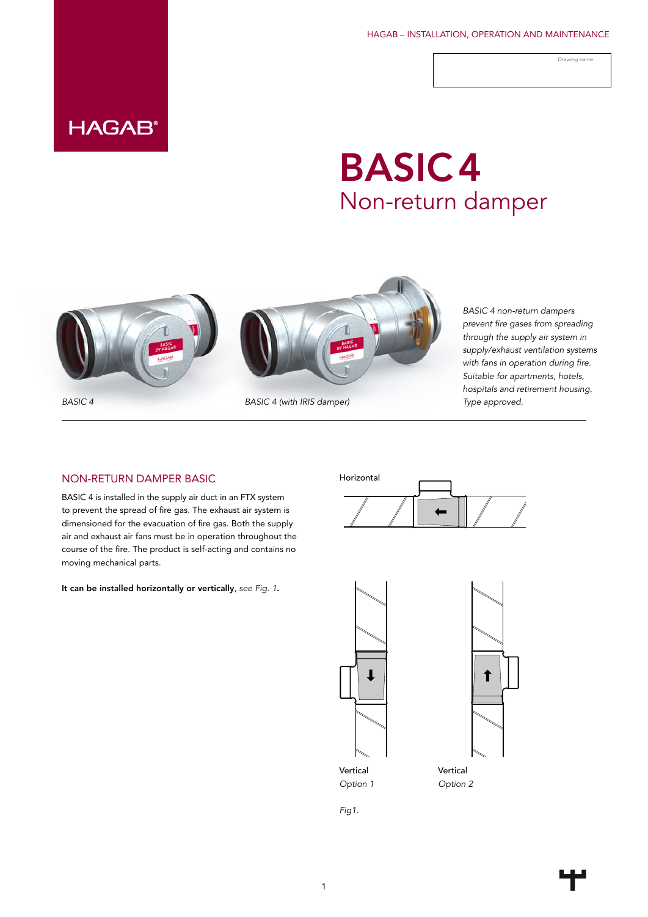HAGAB – INSTALLATION, OPERATION AND MAINTENANCE

*Drawing name:*

## **HAGAB®**

# BASIC4 Non-return damper





*BASIC 4 (with IRIS damper) Type approved.*

*BASIC 4 non-return dampers prevent fire gases from spreading through the supply air system in supply/exhaust ventilation systems with fans in operation during fire. Suitable for apartments, hotels, hospitals and retirement housing.* 

#### NON-RETURN DAMPER BASIC

BASIC 4 is installed in the supply air duct in an FTX system to prevent the spread of fire gas. The exhaust air system is dimensioned for the evacuation of fire gas. Both the supply air and exhaust air fans must be in operation throughout the course of the fire. The product is self-acting and contains no moving mechanical parts.

It can be installed horizontally or vertically, *see Fig. 1*.







Vertical *Option 2*

*Fig1.*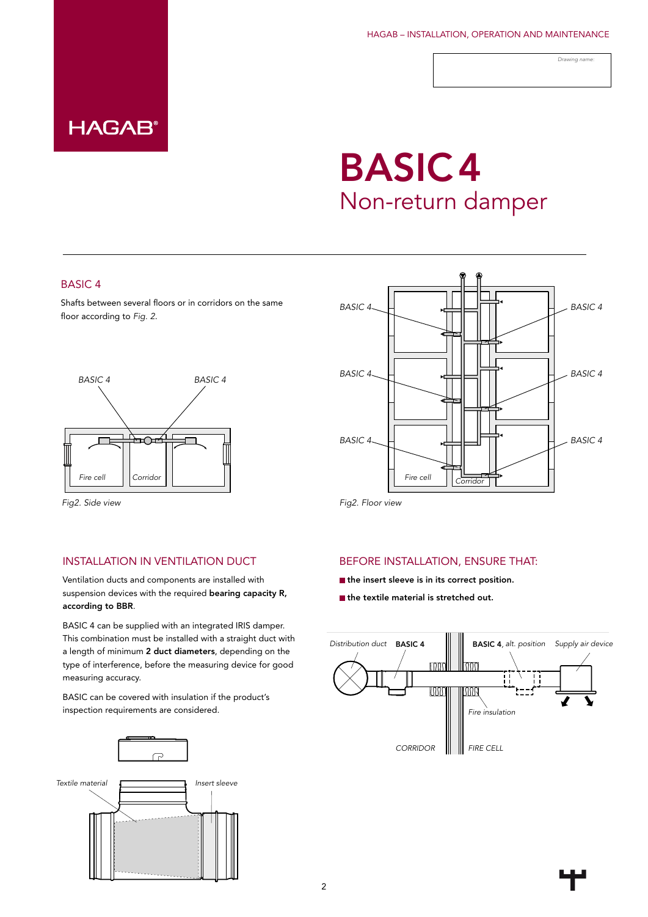

#### HAGAB – INSTALLATION, OPERATION AND MAINTENANCE

*Drawing name:*

# BASIC4 Non-return damper

### BASIC 4

**HAGAB®** 

Shafts between several floors or in corridors on the same floor according to *Fig. 2*.



*Fig2. Side view Fig2. Floor view*

# *BASIC 4 BASIC 4 BASIC 4 BASIC 4 BASIC 4 BASIC 4 Corridor Corridor*

### INSTALLATION IN VENTILATION DUCT

Ventilation ducts and components are installed with suspension devices with the required bearing capacity R, according to BBR.

BASIC 4 can be supplied with an integrated IRIS damper. This combination must be installed with a straight duct with a length of minimum 2 duct diameters, depending on the type of interference, before the measuring device for good measuring accuracy.

BASIC can be covered with insulation if the product's inspection requirements are considered.



#### BEFORE INSTALLATION, ENSURE THAT:

- the insert sleeve is in its correct position.
- the textile material is stretched out.

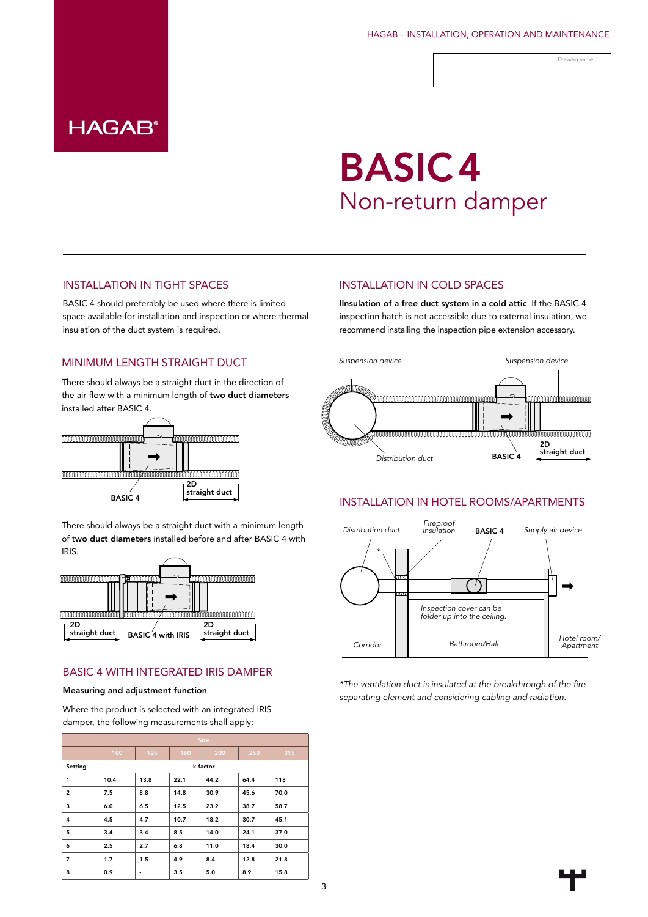*Drawing name:*

## **HAGAB®**

# BASIC4 Non-return damper

### INSTALLATION IN TIGHT SPACES

BASIC 4 should preferably be used where there is limited space available for installation and inspection or where thermal insulation of the duct system is required.

### MINIMUM LENGTH STRAIGHT DUCT

There should always be a straight duct in the direction of the air flow with a minimum length of two duct diameters installed after BASIC 4.



There should always be a straight duct with a minimum length of two duct diameters installed before and after BASIC 4 with IRIS.



### BASIC 4 WITH INTEGRATED IRIS DAMPER

#### Measuring and adjustment function

Where the product is selected with an integrated IRIS damper, the following measurements shall apply:

|                | <b>Size</b> |                          |      |      |      |      |
|----------------|-------------|--------------------------|------|------|------|------|
|                | 100         | 125                      | 160  | 200  | 250  | 315  |
| Setting        | k-factor    |                          |      |      |      |      |
| 1              | 10.4        | 13.8                     | 22.1 | 44.2 | 64.4 | 118  |
| $\overline{2}$ | 7.5         | 8.8                      | 14.8 | 30.9 | 45.6 | 70.0 |
| 3              | 6.0         | 6.5                      | 12.5 | 23.2 | 38.7 | 58.7 |
| $\overline{4}$ | 4.5         | 4.7                      | 10.7 | 18.2 | 30.7 | 45.1 |
| 5              | 3.4         | 3.4                      | 8.5  | 14.0 | 24.1 | 37.0 |
| 6              | 2.5         | 2.7                      | 6.8  | 11.0 | 18.4 | 30.0 |
| 7              | 1.7         | 1.5                      | 4.9  | 8.4  | 12.8 | 21.8 |
| 8              | 0.9         | $\overline{\phantom{0}}$ | 3.5  | 5.0  | 8.9  | 15.8 |

#### INSTALLATION IN COLD SPACES

IInsulation of a free duct system in a cold attic. If the BASIC 4 inspection hatch is not accessible due to external insulation, we recommend installing the inspection pipe extension accessory.



#### INSTALLATION IN HOTEL ROOMS/APARTMENTS



*\*The ventilation duct is insulated at the breakthrough of the fire separating element and considering cabling and radiation.*